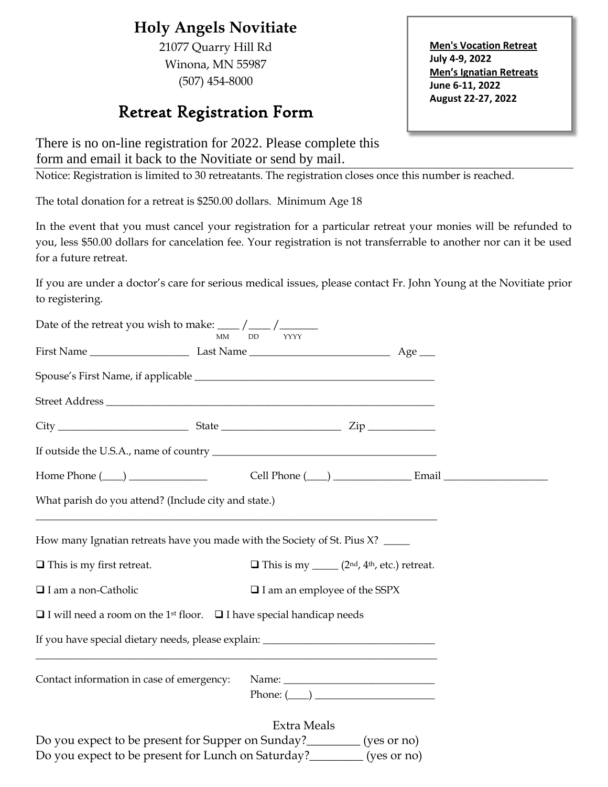## **Holy Angels Novitiate**

21077 Quarry Hill Rd Winona, MN 55987 (507) 454-8000

# Retreat Registration Form

There is no on-line registration for 2022. Please complete this form and email it back to the Novitiate or send by mail.

Notice: Registration is limited to 30 retreatants. The registration closes once this number is reached.

The total donation for a retreat is \$250.00 dollars. Minimum Age 18

In the event that you must cancel your registration for a particular retreat your monies will be refunded to you, less \$50.00 dollars for cancelation fee. Your registration is not transferrable to another nor can it be used for a future retreat.

If you are under a doctor's care for serious medical issues, please contact Fr. John Young at the Novitiate prior to registering.

|                                                                                                                                                   | MM | DD and the post of the state of the state of the state of the state of the state of the state of the state of the state of the state of the state of the state of the state of the state of the state of the state of the stat<br><b>YYYY</b> |  |  |  |
|---------------------------------------------------------------------------------------------------------------------------------------------------|----|-----------------------------------------------------------------------------------------------------------------------------------------------------------------------------------------------------------------------------------------------|--|--|--|
|                                                                                                                                                   |    |                                                                                                                                                                                                                                               |  |  |  |
|                                                                                                                                                   |    |                                                                                                                                                                                                                                               |  |  |  |
|                                                                                                                                                   |    |                                                                                                                                                                                                                                               |  |  |  |
| $City$ $Zip$                                                                                                                                      |    |                                                                                                                                                                                                                                               |  |  |  |
|                                                                                                                                                   |    |                                                                                                                                                                                                                                               |  |  |  |
|                                                                                                                                                   |    |                                                                                                                                                                                                                                               |  |  |  |
| What parish do you attend? (Include city and state.)                                                                                              |    |                                                                                                                                                                                                                                               |  |  |  |
| How many Ignatian retreats have you made with the Society of St. Pius X?                                                                          |    |                                                                                                                                                                                                                                               |  |  |  |
| $\Box$ This is my first retreat.                                                                                                                  |    | $\Box$ This is my ______ (2 <sup>nd</sup> , 4 <sup>th</sup> , etc.) retreat.                                                                                                                                                                  |  |  |  |
| $\Box$ I am a non-Catholic                                                                                                                        |    | $\Box$ I am an employee of the SSPX                                                                                                                                                                                                           |  |  |  |
| $\Box$ I will need a room on the 1 <sup>st</sup> floor. $\Box$ I have special handicap needs                                                      |    |                                                                                                                                                                                                                                               |  |  |  |
| If you have special dietary needs, please explain: _____________________________                                                                  |    |                                                                                                                                                                                                                                               |  |  |  |
| Contact information in case of emergency:                                                                                                         |    | Phone: $(\_\_)$                                                                                                                                                                                                                               |  |  |  |
|                                                                                                                                                   |    | <b>Extra Meals</b>                                                                                                                                                                                                                            |  |  |  |
| Do you expect to be present for Supper on Sunday?_________ (yes or no)<br>Do you expect to be present for Lunch on Saturday?_________ (yes or no) |    |                                                                                                                                                                                                                                               |  |  |  |

**Men's Vocation Retreat July 4-9, 2022 Men's Ignatian Retreats June 6-11, 2022 August 22-27, 2022**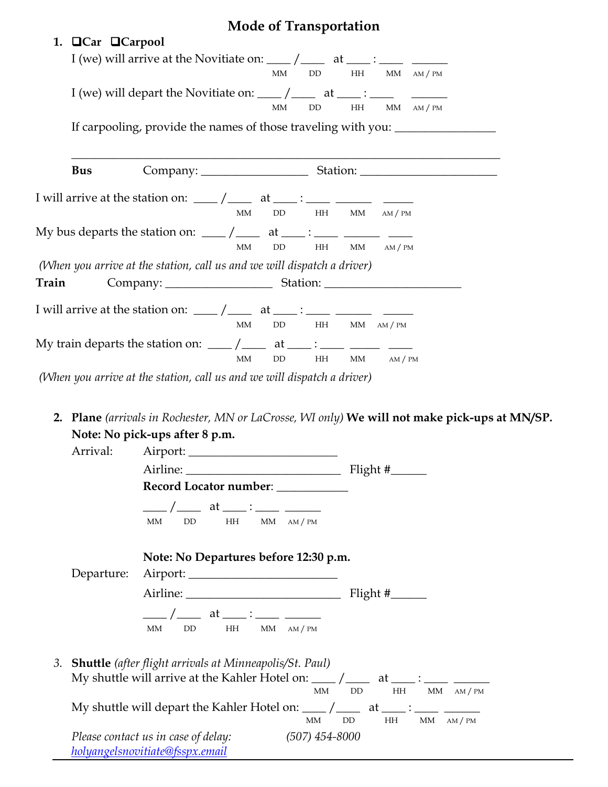## **Mode of Transportation**

| 1. $\Box$ Car $\Box$ Carpool                                                                                               |                       |  |  |
|----------------------------------------------------------------------------------------------------------------------------|-----------------------|--|--|
| I (we) will arrive at the Novitiate on: $\frac{1}{\sqrt{2}}$ at $\frac{1}{\sqrt{2}}$ = $\frac{1}{\sqrt{2}}$                |                       |  |  |
| MM<br>DD                                                                                                                   | HH<br>$MM$ AM / PM    |  |  |
| I (we) will depart the Novitiate on: $\frac{1}{\sqrt{2}}$ at $\frac{1}{\sqrt{2}}$ :                                        |                       |  |  |
| <b>MM</b><br>DD                                                                                                            | HH<br>MM<br>AM $/$ PM |  |  |
| If carpooling, provide the names of those traveling with you: __________________                                           |                       |  |  |
|                                                                                                                            |                       |  |  |
|                                                                                                                            |                       |  |  |
| <b>Bus</b>                                                                                                                 |                       |  |  |
| I will arrive at the station on: $\frac{1}{\sqrt{2}}$ at $\frac{1}{\sqrt{2}}$ at $\frac{1}{\sqrt{2}}$                      |                       |  |  |
| MM<br>DD<br>HH                                                                                                             | MM<br>AM $/$ PM       |  |  |
| My bus departs the station on: $\frac{1}{\sqrt{2}}$ at $\frac{1}{\sqrt{2}}$ at $\frac{1}{\sqrt{2}}$                        |                       |  |  |
| <b>MM</b><br><b>DD</b><br>HH                                                                                               | МM<br>AM / PM         |  |  |
| (When you arrive at the station, call us and we will dispatch a driver)                                                    |                       |  |  |
| Train                                                                                                                      |                       |  |  |
|                                                                                                                            |                       |  |  |
| I will arrive at the station on: $\frac{1}{\sqrt{2}}$ at $\frac{1}{\sqrt{2}}$ at $\frac{1}{\sqrt{2}}$                      |                       |  |  |
| MM<br>DD<br>HH                                                                                                             | $MM$ AM / PM          |  |  |
| My train departs the station on: $\frac{1}{\sqrt{2}}$ at $\frac{1}{\sqrt{2}}$ at $\frac{1}{\sqrt{2}}$ $\frac{1}{\sqrt{2}}$ |                       |  |  |
| <b>MM</b><br>DD<br>HH                                                                                                      | MM<br>AM/PM           |  |  |
| (When you arrive at the station, call us and we will dispatch a driver)                                                    |                       |  |  |

**2. Plane** *(arrivals in Rochester, MN or LaCrosse, WI only)* **We will not make pick-ups at MN/SP. Note: No pick-ups after 8 p.m.**

| Arrival: |  | $Airport: \_\_\_\_\_\_$                                                                                                                                                                                                                                                                                                                                                               |                                  |  |  |  |  |  |
|----------|--|---------------------------------------------------------------------------------------------------------------------------------------------------------------------------------------------------------------------------------------------------------------------------------------------------------------------------------------------------------------------------------------|----------------------------------|--|--|--|--|--|
|          |  |                                                                                                                                                                                                                                                                                                                                                                                       |                                  |  |  |  |  |  |
|          |  | Record Locator number: ___________                                                                                                                                                                                                                                                                                                                                                    |                                  |  |  |  |  |  |
|          |  | $\frac{1}{\sqrt{2}}$ at $\frac{1}{\sqrt{2}}$ at $\frac{1}{\sqrt{2}}$ at $\frac{1}{\sqrt{2}}$ at $\frac{1}{\sqrt{2}}$ at $\frac{1}{\sqrt{2}}$ at $\frac{1}{\sqrt{2}}$ at $\frac{1}{\sqrt{2}}$ at $\frac{1}{\sqrt{2}}$ at $\frac{1}{\sqrt{2}}$ at $\frac{1}{\sqrt{2}}$ at $\frac{1}{\sqrt{2}}$ at $\frac{1}{\sqrt{2}}$ at $\frac{1}{\sqrt{2}}$<br><b>MM</b><br><b>DD</b><br>HH MM AM/PM |                                  |  |  |  |  |  |
|          |  | Note: No Departures before 12:30 p.m.                                                                                                                                                                                                                                                                                                                                                 |                                  |  |  |  |  |  |
|          |  |                                                                                                                                                                                                                                                                                                                                                                                       |                                  |  |  |  |  |  |
|          |  |                                                                                                                                                                                                                                                                                                                                                                                       |                                  |  |  |  |  |  |
|          |  | $\frac{1}{\sqrt{2}}$ at $\frac{1}{\sqrt{2}}$ at $\frac{1}{\sqrt{2}}$ at $\frac{1}{\sqrt{2}}$<br>МM<br>DD<br>HH MM AM/PM                                                                                                                                                                                                                                                               |                                  |  |  |  |  |  |
|          |  | 3. <b>Shuttle</b> (after flight arrivals at Minneapolis/St. Paul)<br>My shuttle will arrive at the Kahler Hotel on: $\frac{1}{\sqrt{2}}$ at $\frac{1}{\sqrt{2}}$ = $\frac{1}{\sqrt{2}}$<br>МM                                                                                                                                                                                         | $HH$ MM $AM/PM$<br>DD.           |  |  |  |  |  |
|          |  | My shuttle will depart the Kahler Hotel on: $\frac{1}{\sqrt{2}}$ at $\frac{1}{\sqrt{2}}$ at $\frac{1}{\sqrt{2}}$<br>MM                                                                                                                                                                                                                                                                | <b>HH</b><br>$MM$ AM / PM<br>DD. |  |  |  |  |  |
|          |  | Please contact us in case of delay:<br>$(507)$ 454-8000<br>holyangelsnovitiate@fsspx.email                                                                                                                                                                                                                                                                                            |                                  |  |  |  |  |  |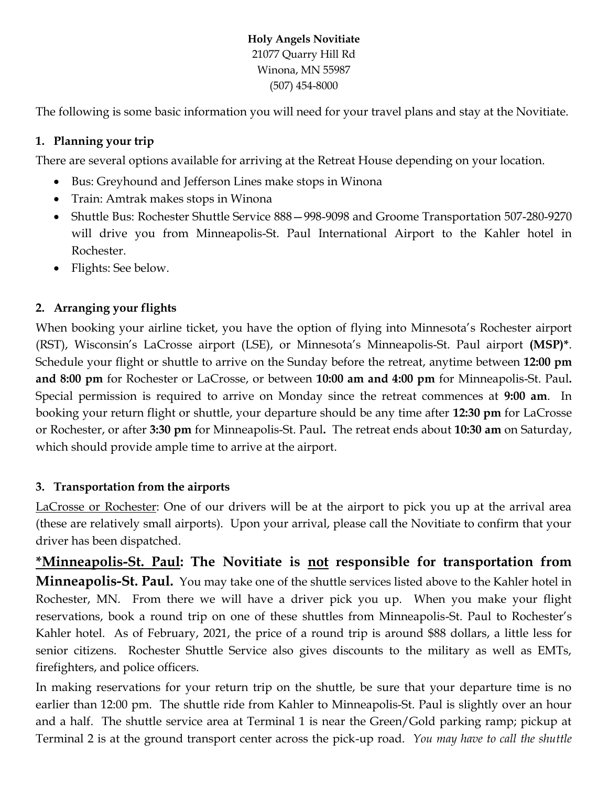#### **Holy Angels Novitiate** 21077 Quarry Hill Rd Winona, MN 55987 (507) 454-8000

The following is some basic information you will need for your travel plans and stay at the Novitiate.

### **1. Planning your trip**

There are several options available for arriving at the Retreat House depending on your location.

- Bus: Greyhound and Jefferson Lines make stops in Winona
- Train: Amtrak makes stops in Winona
- Shuttle Bus: Rochester Shuttle Service 888—998-9098 and Groome Transportation 507-280-9270 will drive you from Minneapolis-St. Paul International Airport to the Kahler hotel in Rochester.
- Flights: See below.

## **2. Arranging your flights**

When booking your airline ticket, you have the option of flying into Minnesota's Rochester airport (RST), Wisconsin's LaCrosse airport (LSE), or Minnesota's Minneapolis-St. Paul airport **(MSP)\***. Schedule your flight or shuttle to arrive on the Sunday before the retreat, anytime between **12:00 pm and 8:00 pm** for Rochester or LaCrosse, or between **10:00 am and 4:00 pm** for Minneapolis-St. Paul**.** Special permission is required to arrive on Monday since the retreat commences at **9:00 am**. In booking your return flight or shuttle, your departure should be any time after **12:30 pm** for LaCrosse or Rochester, or after **3:30 pm** for Minneapolis-St. Paul**.** The retreat ends about **10:30 am** on Saturday, which should provide ample time to arrive at the airport.

### **3. Transportation from the airports**

LaCrosse or Rochester: One of our drivers will be at the airport to pick you up at the arrival area (these are relatively small airports). Upon your arrival, please call the Novitiate to confirm that your driver has been dispatched.

**\*Minneapolis-St. Paul: The Novitiate is not responsible for transportation from Minneapolis-St. Paul.** You may take one of the shuttle services listed above to the Kahler hotel in Rochester, MN. From there we will have a driver pick you up. When you make your flight reservations, book a round trip on one of these shuttles from Minneapolis-St. Paul to Rochester's Kahler hotel. As of February, 2021, the price of a round trip is around \$88 dollars, a little less for senior citizens. Rochester Shuttle Service also gives discounts to the military as well as EMTs, firefighters, and police officers.

In making reservations for your return trip on the shuttle, be sure that your departure time is no earlier than 12:00 pm. The shuttle ride from Kahler to Minneapolis-St. Paul is slightly over an hour and a half. The shuttle service area at Terminal 1 is near the Green/Gold parking ramp; pickup at Terminal 2 is at the ground transport center across the pick-up road. *You may have to call the shuttle*